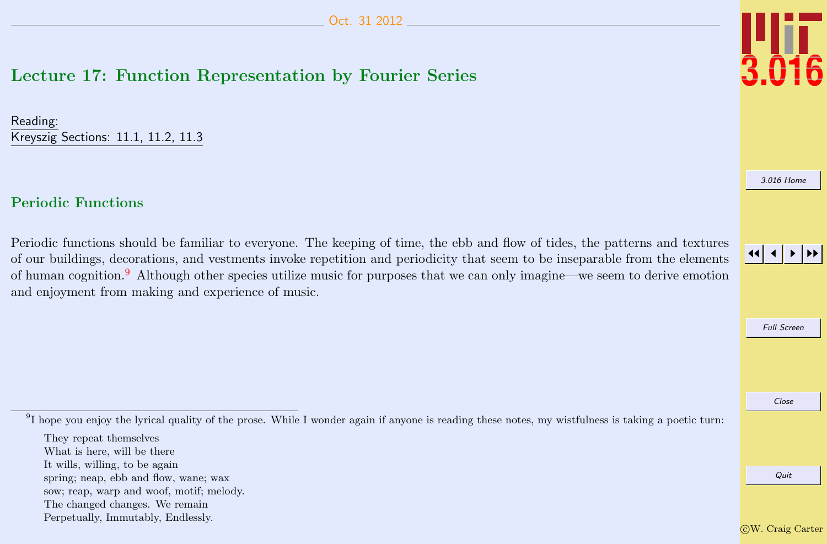## <span id="page-0-0"></span>Lecture 17: Function Representation by Fourier Series

Reading: Kreyszig Sections: 11.1, 11.2, 11.3

## Periodic Functions

Periodic functions should be familiar to everyone. The keeping of time, the ebb and flow of tides, the patterns and textures of our buildings, decorations, and vestments invoke repetition and periodicity that seem to be inseparable from the elements of human cognition.<sup>9</sup> Although other species utilize music for purposes that we can only imagine—we seem to derive emotion and enjoyment from making and experience of music.

<sup>9</sup>I hope you enjoy the lyrical quality of the prose. While I wonder again if anyone is reading these notes, my wistfulness is taking a poetic turn:

- It wills, willing, to be again
- spring; neap, ebb and flow, wane; wax
- sow; reap, warp and woof, motif; melody.
- The changed changes. We remain
- Perpetually, Immutably, Endlessly.



[3.016 Home](http://pruffle.mit.edu/3.016-2012/)

## JJ J I II

Full Screen

Close

They repeat themselves

What is here, will be there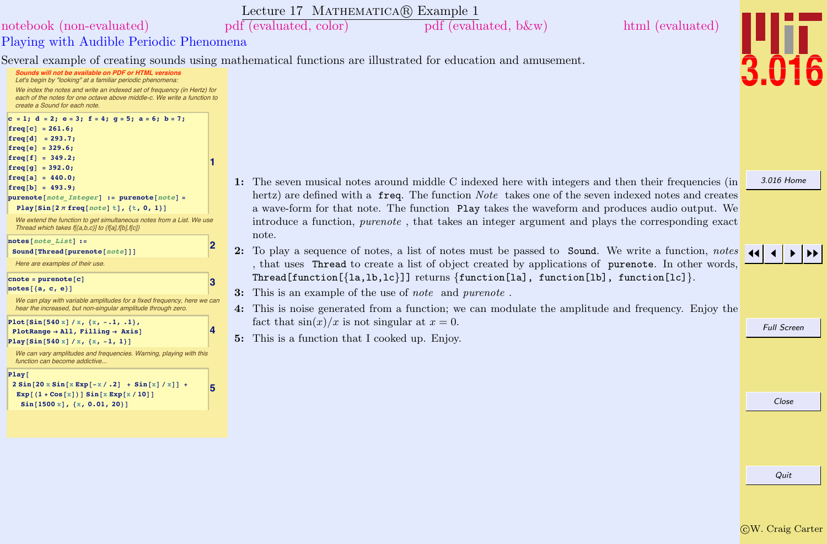

## <span id="page-1-0"></span>Playing with Audible Periodic Phenomena [notebook \(non-evaluated\)](http://pruffle.mit.edu/3.016-2012/Notebooks/L17/Lecture-17.nb) [pdf \(evaluated, color\)](http://pruffle.mit.edu/3.016-2012/pdf/L17/Lecture-17-1-COL.pdf) [pdf \(evaluated, b&w\)](http://pruffle.mit.edu/3.016-2012/pdf/L17/Lecture-17-1-BW.pdf) [html \(evaluated\)](http://pruffle.mit.edu/3.016-2012/html/Lecture-17/HTMLLinks/index_1.html)

Several example of creating sounds using mathematical functions are illustrated for education and amusement.

| Sounds will not be available on PDF or HTML versions<br>Let's begin by "looking" at a familiar periodic phenomena:<br>We index the notes and write an indexed set of frequency (in Hertz) for<br>each of the notes for one octave above middle-c. We write a function to<br>create a Sound for each note.                      |   |                                                                               |
|--------------------------------------------------------------------------------------------------------------------------------------------------------------------------------------------------------------------------------------------------------------------------------------------------------------------------------|---|-------------------------------------------------------------------------------|
| $c = 1$ ; $d = 2$ ; $e = 3$ ; $f = 4$ ; $g = 5$ ; $a = 6$ ; $b = 7$ ;<br>$freq[c] = 261.6;$<br>$freq[d] = 293.7;$<br>$freq[e] = 329.6;$<br>$freq[f] = 349.2;$<br>$freq[g] = 392.0;$<br>$freq[a] = 440.0;$<br>$freq[b] = 493.9;$<br>$purenote[note[Inter] := purenote[note] =$<br>Play [Sin $[2 \pi$ freq [note] t], {t, 0, 1}] | 1 | $1:$ The seven mu<br>hertz) are defi<br>a wave-form fo                        |
| We extend the function to get simultaneous notes from a List. We use<br>Thread which takes f[{a,b,c}] to {f[a],f[b],f[c]}                                                                                                                                                                                                      |   | introduce a fu                                                                |
| $notes[note\ List]:$<br>Sound [Thread [purenote [note]]]                                                                                                                                                                                                                                                                       | 2 | note.<br>$2:$ To play a sequ                                                  |
| Here are examples of their use.<br>$\texttt{cnote} = \texttt{purenote}[\texttt{c}]$<br>$notes[{a, c, e}]$<br>We can play with variable amplitudes for a fixed frequency, here we can<br>hear the increased, but non-singular amplitude through zero.                                                                           | 3 | that uses Th<br>Thread funct<br>3:<br>This is an exa<br>4:<br>This is noise g |
| Plot[Sin[540 x] / x, {x, -.1, .1},<br>$PlotRange \rightarrow All, Filling \rightarrow Axis$<br>Play [Sin [540 x] / x, {x, -1, 1}]<br>We can vary amplitudes and frequencies. Warning, playing with this                                                                                                                        | 4 | fact that $sin(x)$<br>This is a funct<br>5:                                   |
| function can become addictive<br>Play <sub>l</sub><br>$2 Sin[20 x Sin[x Exp[-x/.2] + Sin[x]/x]] +$<br>$Exp[(1 + Cos[x])] Sin[x Exp[x/10]]$<br>$Sin[1500 x], {x, 0.01, 20}]$                                                                                                                                                    | 5 |                                                                               |
|                                                                                                                                                                                                                                                                                                                                |   |                                                                               |

- sical notes around middle C indexed here with integers and then their frequencies (in hered with a freq. The function Note takes one of the seven indexed notes and creates or that note. The function Play takes the waveform and produces audio output. We inction, purenote, that takes an integer argument and plays the corresponding exact
- uence of notes, a list of notes must be passed to Sound. We write a function, notes read to create a list of object created by applications of purenote. In other words,  $\text{ion}[\text{1a,lb,lc}]$ ] returns  $\{\text{function}[la], \text{ function}[lb], \text{ function}[lc]\}.$
- mple of the use of note and purenote.

Lecture 17 MATHEMATICA(R) Example 1

- generated from a function; we can modulate the amplitude and frequency. Enjoy the  $f(x)$  is not singular at  $x = 0$ .
- tion that I cooked up. Enjoy.



[3.016 Home](http://pruffle.mit.edu/3.016-2012/)

Close

Full Screen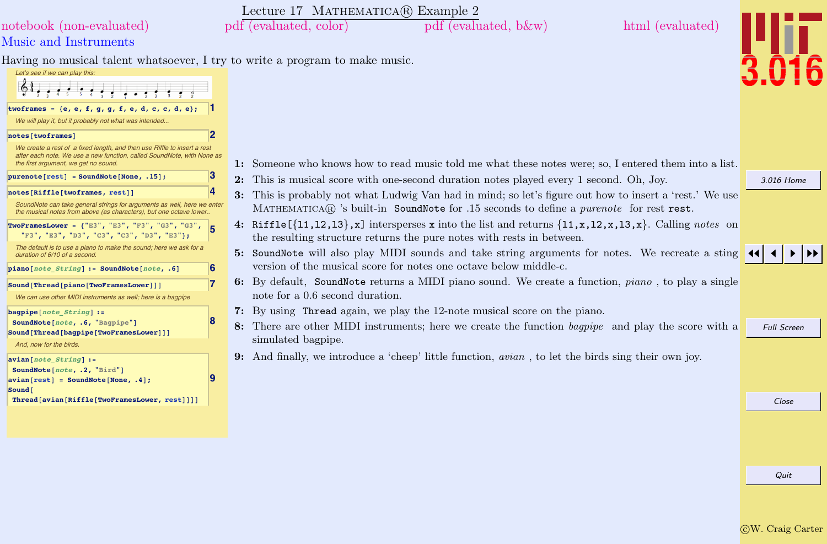<span id="page-2-0"></span>

|                                                                                                                                                                                            | Lecture 17 MATHEMATICA(R) Example 2 |                                                                                                                                                                                                                                    |                  |                    |
|--------------------------------------------------------------------------------------------------------------------------------------------------------------------------------------------|-------------------------------------|------------------------------------------------------------------------------------------------------------------------------------------------------------------------------------------------------------------------------------|------------------|--------------------|
| notebook (non-evaluated)                                                                                                                                                                   | pdf (evaluated, color)              | $pdf$ (evaluated, b $\&w$ )                                                                                                                                                                                                        | html (evaluated) |                    |
| Music and Instruments                                                                                                                                                                      |                                     |                                                                                                                                                                                                                                    |                  |                    |
| Having no musical talent whatsoever, I try to write a program to make music.<br>Let's see if we can play this:                                                                             |                                     |                                                                                                                                                                                                                                    |                  |                    |
|                                                                                                                                                                                            |                                     |                                                                                                                                                                                                                                    |                  |                    |
| twoframes = {e, e, f, g, g, f, e, d, c, c, d, e};<br>We will play it, but it probably not what was intended                                                                                |                                     |                                                                                                                                                                                                                                    |                  |                    |
| 2<br>notes [twoframes]                                                                                                                                                                     |                                     |                                                                                                                                                                                                                                    |                  |                    |
| We create a rest of a fixed length, and then use Riffle to insert a rest<br>after each note. We use a new function, called SoundNote, with None as<br>the first argument, we get no sound. |                                     | 1: Someone who knows how to read music told me what these notes were; so, I entered them into a list.                                                                                                                              |                  |                    |
| 3<br>$purenote[rest] = SoundNote[None, .15];$                                                                                                                                              |                                     | 2: This is musical score with one-second duration notes played every 1 second. Oh, Joy.                                                                                                                                            |                  | 3.016 Home         |
| 4<br>notes[Riffle[twoframes, rest]]                                                                                                                                                        |                                     | 3: This is probably not what Ludwig Van had in mind; so let's figure out how to insert a 'rest.' We use                                                                                                                            |                  |                    |
| SoundNote can take general strings for arguments as well, here we enter<br>the musical notes from above (as characters), but one octave lower                                              |                                     | MATHEMATICAR is built-in SoundNote for .15 seconds to define a <i>purenote</i> for rest rest.                                                                                                                                      |                  |                    |
| <b>TwoFramesLower = {"E3", "E3", "F3", "G3", "G3",</b><br>"F3", "E3", "D3", "C3", "C3", "D3", "E3"};                                                                                       |                                     | 4: Riffle $[\{11, 12, 13\}, \mathbf{x}]$ intersperses x into the list and returns $\{11, \mathbf{x}, 12, \mathbf{x}, 13, \mathbf{x}\}$ . Calling notes on<br>the resulting structure returns the pure notes with rests in between. |                  |                    |
| The default is to use a piano to make the sound; here we ask for a<br>duration of 6/10 of a second.                                                                                        |                                     | 5: SoundNote will also play MIDI sounds and take string arguments for notes. We recreate a sting<br>version of the musical score for notes one octave below middle-c.                                                              |                  |                    |
| 6<br>piano[note String] := SoundNote[note, .6]                                                                                                                                             |                                     | 6: By default, SoundNote returns a MIDI piano sound. We create a function, <i>piano</i> , to play a single                                                                                                                         |                  |                    |
| 17<br>Sound[Thread[piano[TwoFramesLower]]]<br>We can use other MIDI instruments as well; here is a bagpipe                                                                                 | note for a 0.6 second duration.     |                                                                                                                                                                                                                                    |                  |                    |
| $bagpipe[note String] :=$                                                                                                                                                                  |                                     | 7: By using Thread again, we play the 12-note musical score on the piano.                                                                                                                                                          |                  |                    |
| SoundNote[note, .6, "Bagpipe"]<br>Sound[Thread[bagpipe[TwoFramesLower]]]                                                                                                                   |                                     | 8: There are other MIDI instruments; here we create the function bagpipe and play the score with a                                                                                                                                 |                  | <b>Full Screen</b> |
| And, now for the birds.                                                                                                                                                                    | simulated bagpipe.                  |                                                                                                                                                                                                                                    |                  |                    |
| $avian[note String] :-$                                                                                                                                                                    |                                     | <b>9:</b> And finally, we introduce a 'cheep' little function, <i>avian</i> , to let the birds sing their own joy.                                                                                                                 |                  |                    |
| SoundNote[note, .2, "Bird"]<br>$avian[rest] = SoundNote[None, .4];$                                                                                                                        |                                     |                                                                                                                                                                                                                                    |                  |                    |
| Sound [<br>Thread[avian[Riffle[TwoFramesLower, rest]]]]                                                                                                                                    |                                     |                                                                                                                                                                                                                                    |                  | Close              |
|                                                                                                                                                                                            |                                     |                                                                                                                                                                                                                                    |                  |                    |
|                                                                                                                                                                                            |                                     |                                                                                                                                                                                                                                    |                  |                    |
|                                                                                                                                                                                            |                                     |                                                                                                                                                                                                                                    |                  |                    |
|                                                                                                                                                                                            |                                     |                                                                                                                                                                                                                                    |                  |                    |

Quit

 $\vert \mathbf{H} \vert$ 

 $\overline{\bf{6}}$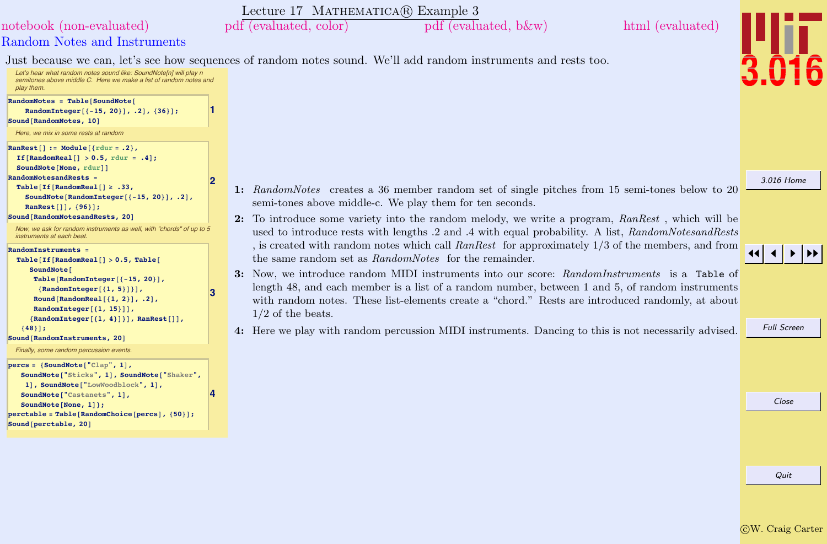<span id="page-3-0"></span>[3.016 Home](http://pruffle.mit.edu/3.016-2012/) JJ J I II Full Screen Close Quit Lecture 17 MATHEMATICA(R) Example 3 Random Notes and Instruments [notebook \(non-evaluated\)](http://pruffle.mit.edu/3.016-2012/Notebooks/L17/Lecture-17.nb) [pdf \(evaluated, color\)](http://pruffle.mit.edu/3.016-2012/pdf/L17/Lecture-17-3-COL.pdf) [pdf \(evaluated, b&w\)](http://pruffle.mit.edu/3.016-2012/pdf/L17/Lecture-17-3-BW.pdf) [html \(evaluated\)](http://pruffle.mit.edu/3.016-2012/html/Lecture-17/HTMLLinks/index_3.html) Just because we can, let's see how sequences of random notes sound. We'll add random instruments and rests too. Let's hear what random notes sound like: SoundNote[n] will play n semitones above middle C. Here we make a list of random notes and play them. **1**  $\mathbf{RandomNotes = Table}$  [SoundNote] **RandomInteger** $[{-15, 20}]$ , .2],  ${36}$ ];  $Sound$ **[RandomNotes, 10]** Here, we mix in some rests at random **2**  $\texttt{Rankest}[\ ] := \texttt{Module}[\{\texttt{rdur} = .2\}$ , **If@RandomReal@D <sup>&</sup>gt; 0.5, rdur <sup>=</sup> .4D;**  $\texttt{SoundNote}$  [None, rdur]] **RandomNotesandRests =**  $Table[If[RandomReal[] \ge .33],$ **SoundNote@RandomInteger@8-15, <sup>20</sup><D, .2D, RanRest**[]],  ${96}$ ];  $\texttt{Sound}$  [RandomNotesandRests, 20] [Now, we ask for random instruments as well, with "chords" of up to 5](http://pruffle.mit.edu/3.016-2012/html/Lecture-17/HTMLLinks/index_3.html) instruments at each beat **3 RandomInstruments =**  $Table[If[RandomReal[] > 0.5, Table[$ SoundNote<sup>[</sup>  $Table$  [RandomInteger [{-15, 20}],  ${$ **RandomInteger** ${$ {1, 5}}}}, **Round@RandomReal@81, 2<D, .2D,**  $RandomInteger[{1, 15}]$ **8RandomInteger@81, 4<D<D, RanRest@DD,**  ${48}$  $\delta$ **Sound[RandomInstruments, 20]** Finally, some random percussion events. **4**  $percs = \{SoundNote['Clap", 1],$ **SoundNote@"Sticks", 1D, SoundNote@"Shaker", 1D, SoundNote@"LowWoodblock", 1D, SoundNote@"Castanets", 1D, SoundNote@None, 1D<; perctable** = **Table**[RandomChoice[percs], {50}];  $\text{Sound}$  [perctable, 20] 1: RandomNotes creates a 36 member random set of single pitches from 15 semi-tones below to 20 semi-tones above middle-c. We play them for ten seconds. 2: To introduce some variety into the random melody, we write a program, RanRest , which will be used to introduce rests with lengths  $.2$  and  $.4$  with equal probability. A list, RandomNotesandRests , is created with random notes which call  $Rankest$  for approximately 1/3 of the members, and from the same random set as RandomNotes for the remainder. 3: Now, we introduce random MIDI instruments into our score: RandomInstruments is a Table of length 48, and each member is a list of a random number, between 1 and 5, of random instruments with random notes. These list-elements create a "chord." Rests are introduced randomly, at about 1/2 of the beats. 4: Here we play with random percussion MIDI instruments. Dancing to this is not necessarily advised.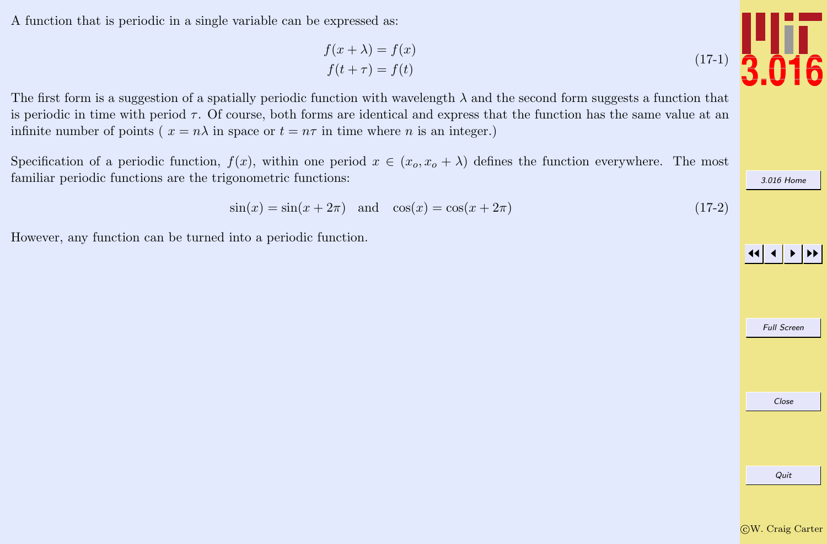A function that is periodic in a single variable can be expressed as:

$$
f(x + \lambda) = f(x)
$$
  

$$
f(t + \tau) = f(t)
$$

The first form is a suggestion of a spatially periodic function with wavelength  $\lambda$  and the second form suggests a function that is periodic in time with period  $\tau$ . Of course, both forms are identical and express that the function has the same value at an infinite number of points ( $x = n\lambda$  in space or  $t = n\tau$  in time where n is an integer.)

Specification of a periodic function,  $f(x)$ , within one period  $x \in (x_0, x_0 + \lambda)$  defines the function everywhere. The most familiar periodic functions are the trigonometric functions:

$$
\sin(x) = \sin(x + 2\pi) \quad \text{and} \quad \cos(x) = \cos(x + 2\pi) \tag{17-2}
$$

However, any function can be turned into a periodic function.



Quit



Full Screen

Close

[3.016 Home](http://pruffle.mit.edu/3.016-2012/)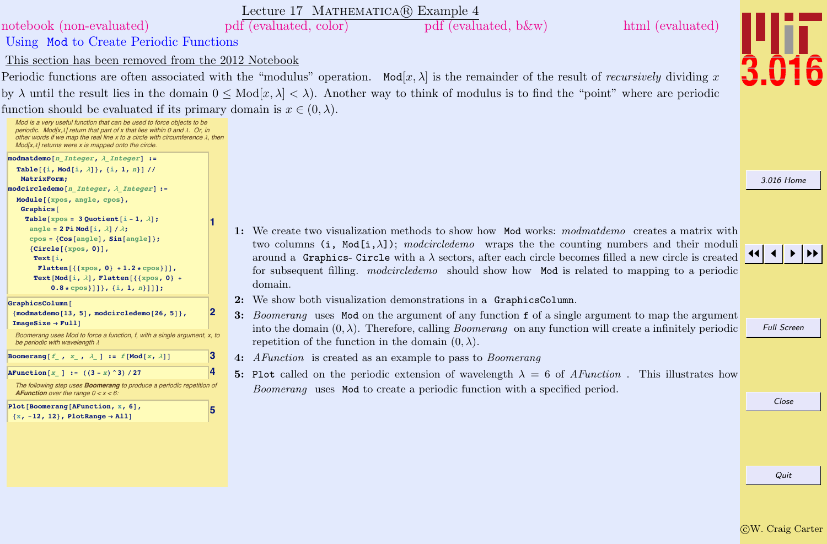<span id="page-5-0"></span>

|                                                                                                                                                                                                                                                                                                                       | Lecture 17 MATHEMATICA(R) Example 4                                                                                                                                                 |                    |
|-----------------------------------------------------------------------------------------------------------------------------------------------------------------------------------------------------------------------------------------------------------------------------------------------------------------------|-------------------------------------------------------------------------------------------------------------------------------------------------------------------------------------|--------------------|
| notebook (non-evaluated)                                                                                                                                                                                                                                                                                              | pdf (evaluated, color)<br>pdf (evaluated, b&w)<br>html (evaluated)                                                                                                                  |                    |
| Using Mod to Create Periodic Functions                                                                                                                                                                                                                                                                                |                                                                                                                                                                                     |                    |
| This section has been removed from the 2012 Notebook                                                                                                                                                                                                                                                                  |                                                                                                                                                                                     |                    |
|                                                                                                                                                                                                                                                                                                                       | Periodic functions are often associated with the "modulus" operation. $Mod[x, \lambda]$ is the remainder of the result of <i>recursively</i> dividing x                             |                    |
|                                                                                                                                                                                                                                                                                                                       | by $\lambda$ until the result lies in the domain $0 \leq Mod[x, \lambda] < \lambda$ . Another way to think of modulus is to find the "point" where are periodic                     |                    |
| function should be evaluated if its primary domain is $x \in (0, \lambda)$ .                                                                                                                                                                                                                                          |                                                                                                                                                                                     |                    |
| Mod is a very useful function that can be used to force objects to be<br>periodic. Mod[x, $\lambda$ ] return that part of x that lies within 0 and $\lambda$ . Or, in<br>other words if we map the real line x to a circle with circumference $\lambda$ , then<br>Mod[x, \] returns were x is mapped onto the circle. |                                                                                                                                                                                     |                    |
| modmatdemo[n Integer, $\lambda$ Integer] :=                                                                                                                                                                                                                                                                           |                                                                                                                                                                                     |                    |
| Table[{i, Mod[i, $\lambda$ ]}, {i, 1, n}] //<br>MatrixForm:                                                                                                                                                                                                                                                           |                                                                                                                                                                                     | 3.016 Home         |
| $model$ rcledemo[n Integer, $\lambda$ Integer] :=                                                                                                                                                                                                                                                                     |                                                                                                                                                                                     |                    |
| Module[{xpos, angle, cpos},<br>Graphics <sup>[</sup>                                                                                                                                                                                                                                                                  |                                                                                                                                                                                     |                    |
| Table [xpos = 3 Quotient [i - 1, $\lambda$ ];                                                                                                                                                                                                                                                                         |                                                                                                                                                                                     |                    |
| angle = 2 Pi Mod[i, $\lambda$ ] / $\lambda$ ;<br>$cpos = {Cos[angle], Sin[angle]};$                                                                                                                                                                                                                                   | 1: We create two visualization methods to show how Mod works: modmatdemo creates a matrix with                                                                                      |                    |
| ${Circle[{xpos, 0}]$ ,                                                                                                                                                                                                                                                                                                | two columns (i, Mod $[i, \lambda]$ ); modcircledemo wraps the the counting numbers and their moduli                                                                                 |                    |
| Text $[i,$<br>Flatten $[{xpos, 0} + 1.2 * cpos}]]$ ,                                                                                                                                                                                                                                                                  | around a Graphics-Circle with a $\lambda$ sectors, after each circle becomes filled a new circle is created                                                                         |                    |
| Text[Mod[i, $\lambda$ ], Flatten[{{xpos, 0} +                                                                                                                                                                                                                                                                         | for subsequent filling. modcircledemo should show how Mod is related to mapping to a periodic<br>domain.                                                                            |                    |
| $0.8 * cpos]]$ }, {i, 1, n}]];                                                                                                                                                                                                                                                                                        |                                                                                                                                                                                     |                    |
| GraphicsColumn<br>${modmatchmo[13, 5]}$ , modcircledemo $[26, 5]$ ,                                                                                                                                                                                                                                                   | 2: We show both visualization demonstrations in a GraphicsColumn.<br>2                                                                                                              |                    |
| $ImageSize \rightarrow Full$                                                                                                                                                                                                                                                                                          | 3: Boomerang uses Mod on the argument of any function f of a single argument to map the argument                                                                                    | <b>Full Screen</b> |
| Boomerang uses Mod to force a function, f, with a single argument, x, to<br>be periodic with wavelength $\lambda$                                                                                                                                                                                                     | into the domain $(0, \lambda)$ . Therefore, calling <i>Boomerang</i> on any function will create a infinitely periodic<br>repetition of the function in the domain $(0, \lambda)$ . |                    |
| Boomerang $[f_ , x_ , \lambda_ ] := f[Mod[x, \lambda]]$                                                                                                                                                                                                                                                               | 3<br>4: AFunction is created as an example to pass to Boomerang                                                                                                                     |                    |
| AFunction $[x]$ := $((3 - x)^3) / 27$                                                                                                                                                                                                                                                                                 | 5: Plot called on the periodic extension of wavelength $\lambda = 6$ of AFunction. This illustrates how                                                                             |                    |
| The following step uses <b>Boomerang</b> to produce a periodic repetition of<br><b>AFunction</b> over the range $0 < x < 6$ :                                                                                                                                                                                         | Boomerang uses Mod to create a periodic function with a specified period.                                                                                                           |                    |
| Plot[Boomerang[AFunction, x, 6],<br>$\{x, -12, 12\}$ , PlotRange $\rightarrow$ All]                                                                                                                                                                                                                                   | 5                                                                                                                                                                                   | Close              |
|                                                                                                                                                                                                                                                                                                                       |                                                                                                                                                                                     |                    |
|                                                                                                                                                                                                                                                                                                                       |                                                                                                                                                                                     |                    |
|                                                                                                                                                                                                                                                                                                                       |                                                                                                                                                                                     |                    |
|                                                                                                                                                                                                                                                                                                                       |                                                                                                                                                                                     | Quit               |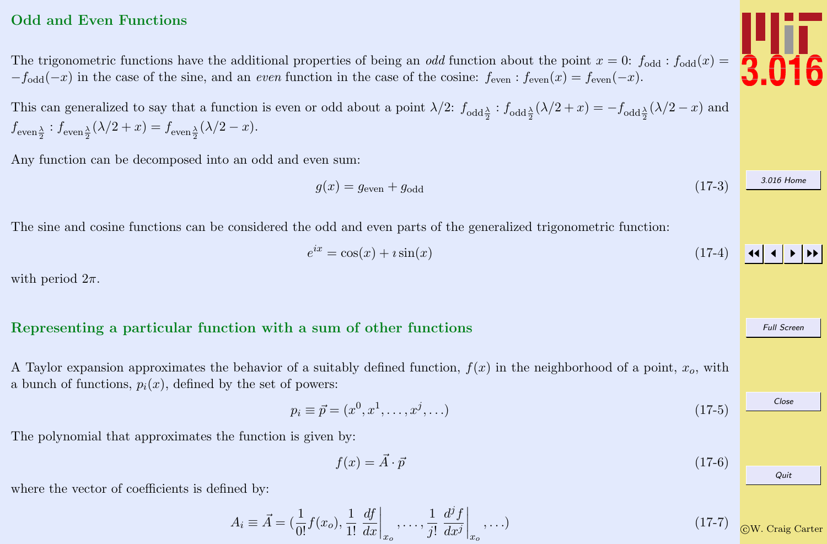#### <span id="page-6-0"></span>Odd and Even Functions

The trigonometric functions have the additional properties of being an *odd* function about the point  $x = 0$ :  $f_{odd} : f_{odd}(x) =$  $-f_{odd}(-x)$  in the case of the sine, and an *even* function in the case of the cosine:  $f_{even}$ :  $f_{even}(x) = f_{even}(-x)$ .

This can generalized to say that a function is even or odd about a point  $\lambda/2$ :  $f_{\text{odd}\frac{\lambda}{2}}$  :  $f_{\text{odd}\frac{\lambda}{2}}(\lambda/2 + x) = -f_{\text{odd}\frac{\lambda}{2}}(\lambda/2 - x)$  and  $f_{\text{even }\frac{\lambda}{2}} : f_{\text{even }\frac{\lambda}{2}}(\lambda/2 + x) = f_{\text{even }\frac{\lambda}{2}}(\lambda/2 - x).$ 

Any function can be decomposed into an odd and even sum:

 $q(x) = q_{\text{even}} + q_{\text{odd}}$  (17-3)

The sine and cosine functions can be considered the odd and even parts of the generalized trigonometric function:

$$
e^{ix} = \cos(x) + i\sin(x) \tag{17-4}
$$

with period  $2\pi$ .

#### Representing a particular function with a sum of other functions

A Taylor expansion approximates the behavior of a suitably defined function,  $f(x)$  in the neighborhood of a point,  $x<sub>o</sub>$ , with a bunch of functions,  $p_i(x)$ , defined by the set of powers:

$$
p_i \equiv \vec{p} = (x^0, x^1, \dots, x^j, \dots) \tag{17-5}
$$

The polynomial that approximates the function is given by:

$$
f(x) = \vec{A} \cdot \vec{p} \tag{17-6}
$$

where the vector of coefficients is defined by:

$$
A_i \equiv \vec{A} = \left(\frac{1}{0!}f(x_o), \frac{1}{1!} \left. \frac{df}{dx} \right|_{x_o}, \dots, \frac{1}{j!} \left. \frac{d^j f}{dx^j} \right|_{x_o}, \dots\right) \tag{17-7}
$$



[3.016 Home](http://pruffle.mit.edu/3.016-2012/)

Full Screen

Close

Quit

 $\blacktriangleright\blacktriangleright$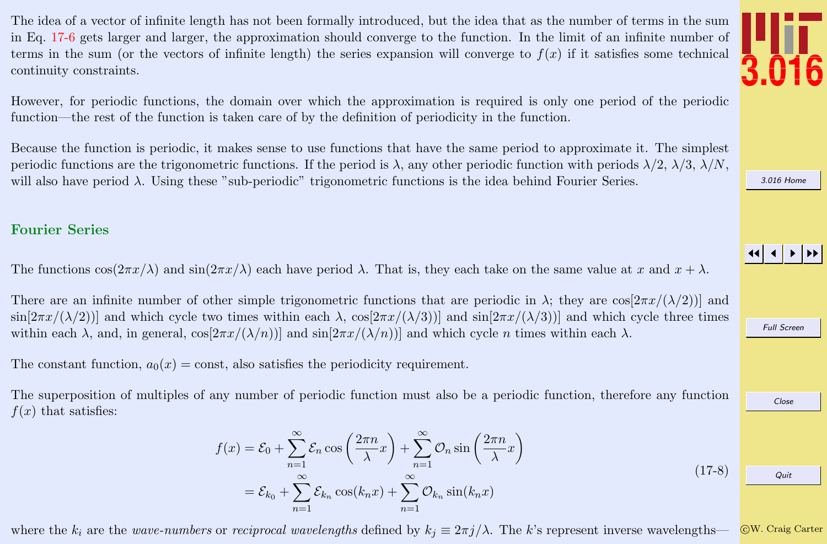<span id="page-7-0"></span>The idea of a vector of infinite length has not been formally introduced, but the idea that as the number of terms in the sum in Eq. [17-6](#page-6-0) gets larger and larger, the approximation should converge to the function. In the limit of an infinite number of terms in the sum (or the vectors of infinite length) the series expansion will converge to  $f(x)$  if it satisfies some technical continuity constraints.

However, for periodic functions, the domain over which the approximation is required is only one period of the periodic function—the rest of the function is taken care of by the definition of periodicity in the function.

Because the function is periodic, it makes sense to use functions that have the same period to approximate it. The simplest periodic functions are the trigonometric functions. If the period is  $\lambda$ , any other periodic function with periods  $\lambda/2$ ,  $\lambda/3$ ,  $\lambda/N$ , will also have period  $\lambda$ . Using these "sub-periodic" trigonometric functions is the idea behind Fourier Series.

#### Fourier Series

The functions  $\cos(2\pi x/\lambda)$  and  $\sin(2\pi x/\lambda)$  each have period  $\lambda$ . That is, they each take on the same value at x and  $x + \lambda$ .

There are an infinite number of other simple trigonometric functions that are periodic in  $\lambda$ ; they are  $\cos[2\pi x/(\lambda/2))]$  and  $\sin[2\pi x/(\lambda/2))]$  and which cycle two times within each  $\lambda$ ,  $\cos[2\pi x/(\lambda/3))]$  and  $\sin[2\pi x/(\lambda/3))]$  and which cycle three times within each  $\lambda$ , and, in general,  $\cos[2\pi x/(\lambda/n))]$  and  $\sin[2\pi x/(\lambda/n))]$  and which cycle *n* times within each  $\lambda$ .

The constant function,  $a_0(x) = \text{const}$ , also satisfies the periodicity requirement.

The superposition of multiples of any number of periodic function must also be a periodic function, therefore any function  $f(x)$  that satisfies:

$$
f(x) = \mathcal{E}_0 + \sum_{n=1}^{\infty} \mathcal{E}_n \cos\left(\frac{2\pi n}{\lambda}x\right) + \sum_{n=1}^{\infty} \mathcal{O}_n \sin\left(\frac{2\pi n}{\lambda}x\right)
$$
  
=  $\mathcal{E}_{k_0} + \sum_{n=1}^{\infty} \mathcal{E}_{k_n} \cos(k_n x) + \sum_{n=1}^{\infty} \mathcal{O}_{k_n} \sin(k_n x)$  (17-8)

where the  $k_i$  are the wave-numbers or reciprocal wavelengths defined by  $k_j \equiv 2\pi j/\lambda$ . The k's represent inverse wavelengths—

c W. Craig Carter

Quit







Full Screen

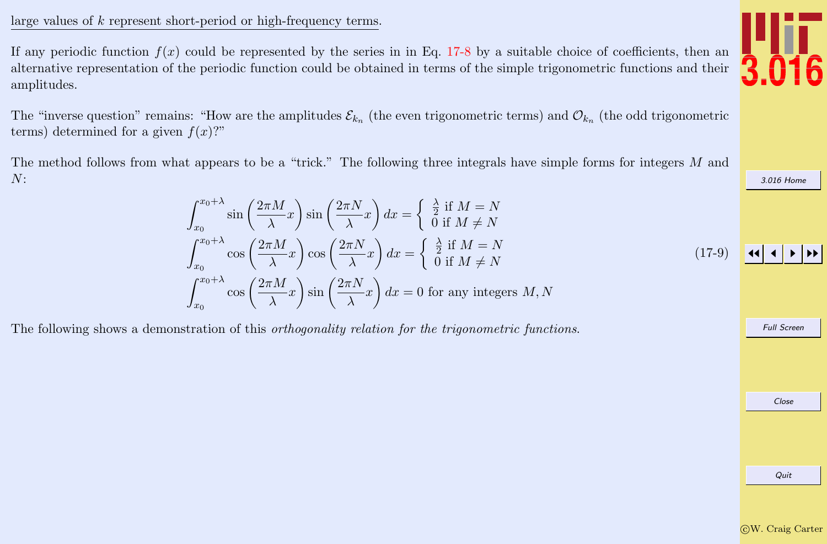#### <span id="page-8-0"></span>large values of k represent short-period or high-frequency terms.

If any periodic function  $f(x)$  could be represented by the series in in Eq. [17-8](#page-7-0) by a suitable choice of coefficients, then an alternative representation of the periodic function could be obtained in terms of the simple trigonometric functions and their amplitudes.

The "inverse question" remains: "How are the amplitudes  $\mathcal{E}_{k_n}$  (the even trigonometric terms) and  $\mathcal{O}_{k_n}$  (the odd trigonometric terms) determined for a given  $f(x)$ ?"

The method follows from what appears to be a "trick." The following three integrals have simple forms for integers M and N:

$$
\int_{x_0}^{x_0+\lambda} \sin\left(\frac{2\pi M}{\lambda}x\right) \sin\left(\frac{2\pi N}{\lambda}x\right) dx = \begin{cases} \frac{\lambda}{2} & \text{if } M = N \\ 0 & \text{if } M \neq N \end{cases}
$$
\n
$$
\int_{x_0}^{x_0+\lambda} \cos\left(\frac{2\pi M}{\lambda}x\right) \cos\left(\frac{2\pi N}{\lambda}x\right) dx = \begin{cases} \frac{\lambda}{2} & \text{if } M = N \\ 0 & \text{if } M \neq N \end{cases}
$$
\n
$$
\int_{x_0}^{x_0+\lambda} \cos\left(\frac{2\pi M}{\lambda}x\right) \sin\left(\frac{2\pi N}{\lambda}x\right) dx = 0 \text{ for any integers } M, N
$$
\n(17-9)

The following shows a demonstration of this *orthogonality relation for the trigonometric functions*.

Quit



[3.016 Home](http://pruffle.mit.edu/3.016-2012/)

Full Screen

Close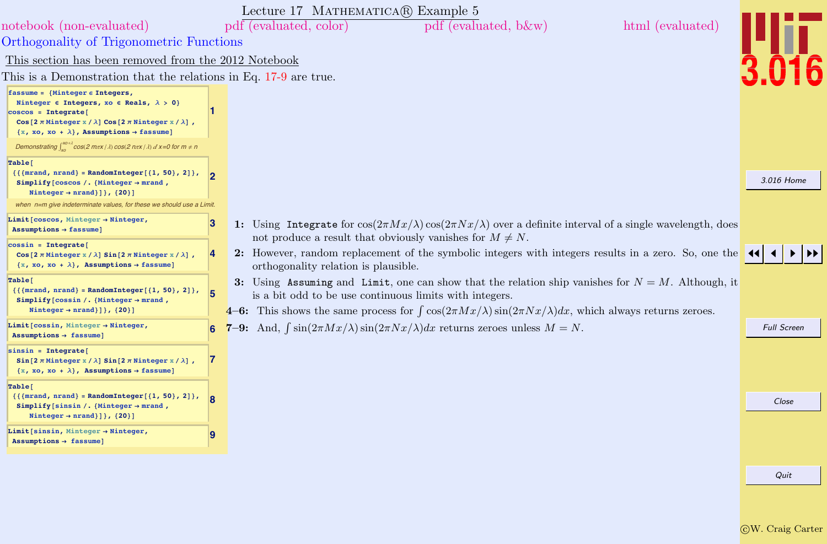<span id="page-9-0"></span>

|                                                                                                                                                                                                                                                                                                   |              | Lecture 17 MATHEMATICA® Example 5                                                                                                                                                                                                                                                              |                    |
|---------------------------------------------------------------------------------------------------------------------------------------------------------------------------------------------------------------------------------------------------------------------------------------------------|--------------|------------------------------------------------------------------------------------------------------------------------------------------------------------------------------------------------------------------------------------------------------------------------------------------------|--------------------|
| notebook (non-evaluated)                                                                                                                                                                                                                                                                          |              | $pdf$ (evaluated, b $\&w$ )<br>html (evaluated)<br>pdf (evaluated, color)                                                                                                                                                                                                                      |                    |
| <b>Orthogonality of Trigonometric Functions</b>                                                                                                                                                                                                                                                   |              |                                                                                                                                                                                                                                                                                                |                    |
| This section has been removed from the 2012 Notebook                                                                                                                                                                                                                                              |              |                                                                                                                                                                                                                                                                                                |                    |
| This is a Demonstration that the relations in Eq. 17-9 are true.                                                                                                                                                                                                                                  |              |                                                                                                                                                                                                                                                                                                |                    |
| fassume = {Minteger $\epsilon$ Integers,<br>Ninteger $\epsilon$ Integers, xo $\epsilon$ Reals, $\lambda > 0$ }<br>$\cos \cos = \text{Integrate}$<br>Cos $[2 \pi$ Minteger $x / \lambda]$ Cos $[2 \pi$ Ninteger $x / \lambda]$ ,<br>$\{x, xo, xo + \lambda\}$ , Assumptions $\rightarrow$ fassume] |              |                                                                                                                                                                                                                                                                                                |                    |
| Demonstrating $\int_{0}^{x_0+A}$ cos(2 m $\pi x/\lambda$ ) cos(2 n $\pi x/\lambda$ ) d x=0 for m $\neq$ n                                                                                                                                                                                         |              |                                                                                                                                                                                                                                                                                                |                    |
| Table <sup>[</sup><br>${({\text{mrand}, \text{nrand}} = \text{RandomInteger}[\{1, 50\}, 2]\},$<br>Simplify [coscos /. {Minteger $\rightarrow$ mrand,<br>Ninteger $\rightarrow$ nrand}]}, {20}]                                                                                                    |              |                                                                                                                                                                                                                                                                                                | 3.016 Home         |
| when n=m give indeterminate values, for these we should use a Limit.                                                                                                                                                                                                                              |              |                                                                                                                                                                                                                                                                                                |                    |
| Limit [ $coscos$ , Minteger $\rightarrow$ Ninteger,<br>$Assumptions \rightarrow fassume$ ]                                                                                                                                                                                                        | 3            | 1: Using Integrate for $\cos(2\pi Mx/\lambda)\cos(2\pi Nx/\lambda)$ over a definite interval of a single wavelength, does<br>not produce a result that obviously vanishes for $M \neq N$ .                                                                                                     |                    |
| $cossin = Integrate[$<br>Cos[ $2 \pi$ Minteger x / $\lambda$ ] Sin[ $2 \pi$ Ninteger x / $\lambda$ ],<br>$\{x, xo, xo + \lambda\}$ , Assumptions $\rightarrow$ fassume]                                                                                                                           | 4            | 2: However, random replacement of the symbolic integers with integers results in a zero. So, one the<br>orthogonality relation is plausible.                                                                                                                                                   |                    |
| Table[<br>${({\{mrand, nrand\} = RandomInteger[1, 50\}, 2]},$<br>Simplify [ $\cos$ sin /. {Minteger $\rightarrow$ mrand,<br>Ninteger $\rightarrow$ nrand} ] }, {20} ]                                                                                                                             | 15           | 3: Using Assuming and Limit, one can show that the relation ship vanishes for $N = M$ . Although, it<br>is a bit odd to be use continuous limits with integers.<br>4–6: This shows the same process for $\int \cos(2\pi M x/\lambda) \sin(2\pi N x/\lambda) dx$ , which always returns zeroes. |                    |
| Limit [ $\cos$ sin, Minteger $\rightarrow$ Ninteger,<br>Assumptions $\rightarrow$ fassume]                                                                                                                                                                                                        |              | 7-9: And, $\int \sin(2\pi Mx/\lambda) \sin(2\pi Nx/\lambda) dx$ returns zeroes unless $M = N$ .                                                                                                                                                                                                | <b>Full Screen</b> |
| $sinsin = Integrate[$<br>$Sin[2 \pi$ Minteger x / $\lambda]$ Sin[2 $\pi$ Ninteger x / $\lambda$ ],<br>$\{x, xo, xo + \lambda\}$ , Assumptions $\rightarrow$ fassume]                                                                                                                              | $\mathcal I$ |                                                                                                                                                                                                                                                                                                |                    |
| Table <sup>[</sup><br>${({\{mrand, nrand\} = RandomInteger[1, 50\}, 2]},$<br>Simplify [sinsin /. {Minteger $\rightarrow$ mrand,<br>Ninteger $\rightarrow$ nrand}] }, {20}]                                                                                                                        | ١R           |                                                                                                                                                                                                                                                                                                | Close              |
| Limit [sinsin, Minteger $\rightarrow$ Ninteger,<br>Assumptions $\rightarrow$ fassume]                                                                                                                                                                                                             | 9            |                                                                                                                                                                                                                                                                                                |                    |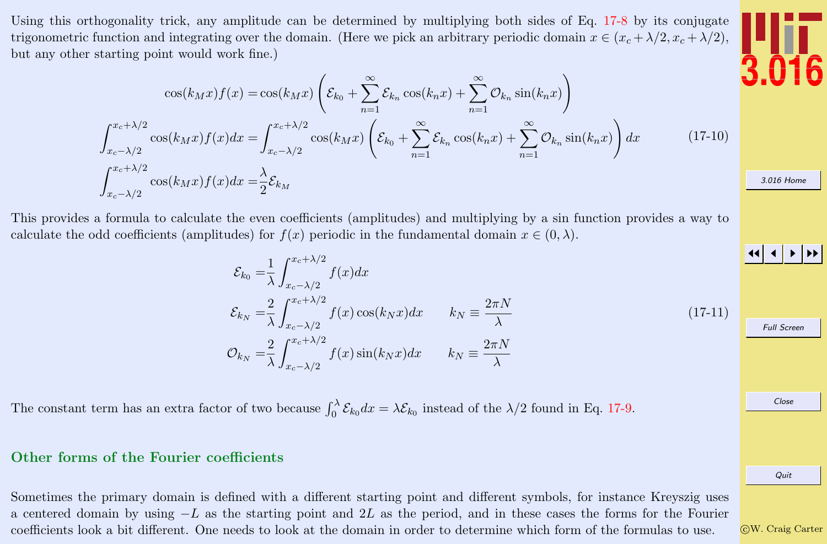<span id="page-10-0"></span>Using this orthogonality trick, any amplitude can be determined by multiplying both sides of Eq. [17-8](#page-7-0) by its conjugate trigonometric function and integrating over the domain. (Here we pick an arbitrary periodic domain  $x \in (x_c + \lambda/2, x_c + \lambda/2)$ , but any other starting point would work fine.)

$$
\cos(k_M x) f(x) = \cos(k_M x) \left( \mathcal{E}_{k_0} + \sum_{n=1}^{\infty} \mathcal{E}_{k_n} \cos(k_n x) + \sum_{n=1}^{\infty} \mathcal{O}_{k_n} \sin(k_n x) \right)
$$

$$
\int_{x_c - \lambda/2}^{x_c + \lambda/2} \cos(k_M x) f(x) dx = \int_{x_c - \lambda/2}^{x_c + \lambda/2} \cos(k_M x) \left( \mathcal{E}_{k_0} + \sum_{n=1}^{\infty} \mathcal{E}_{k_n} \cos(k_n x) + \sum_{n=1}^{\infty} \mathcal{O}_{k_n} \sin(k_n x) \right) dx \qquad (17-10)
$$

$$
\int_{x_c - \lambda/2}^{x_c + \lambda/2} \cos(k_M x) f(x) dx = \frac{\lambda}{2} \mathcal{E}_{k_M}
$$

This provides a formula to calculate the even coefficients (amplitudes) and multiplying by a sin function provides a way to calculate the odd coefficients (amplitudes) for  $f(x)$  periodic in the fundamental domain  $x \in (0, \lambda)$ .

$$
\mathcal{E}_{k_0} = \frac{1}{\lambda} \int_{x_c - \lambda/2}^{x_c + \lambda/2} f(x) dx
$$
\n
$$
\mathcal{E}_{k_N} = \frac{2}{\lambda} \int_{x_c - \lambda/2}^{x_c + \lambda/2} f(x) \cos(k_N x) dx \qquad k_N \equiv \frac{2\pi N}{\lambda}
$$
\n
$$
\mathcal{O}_{k_N} = \frac{2}{\lambda} \int_{x_c - \lambda/2}^{x_c + \lambda/2} f(x) \sin(k_N x) dx \qquad k_N \equiv \frac{2\pi N}{\lambda}
$$
\n(17-11)

The constant term has an extra factor of two because  $\int_0^{\lambda} \mathcal{E}_{k_0} dx = \lambda \mathcal{E}_{k_0}$  instead of the  $\lambda/2$  found in Eq. [17-9.](#page-8-0)

#### Other forms of the Fourier coefficients

Sometimes the primary domain is defined with a different starting point and different symbols, for instance Kreyszig uses a centered domain by using  $-L$  as the starting point and 2L as the period, and in these cases the forms for the Fourier coefficients look a bit different. One needs to look at the domain in order to determine which form of the formulas to use.



[3.016 Home](http://pruffle.mit.edu/3.016-2012/)

JJ J I II

Full Screen

Close

Quit

c W. Craig Carter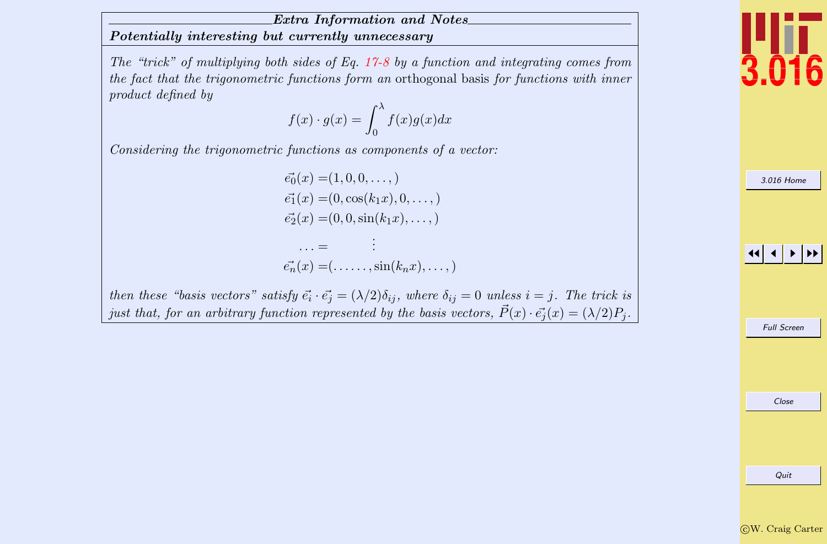#### <span id="page-11-0"></span>Extra Information and Notes Potentially interesting but currently unnecessary

The "trick" of multiplying both sides of Eq. [17-8](#page-7-0) by a function and integrating comes from the fact that the trigonometric functions form an orthogonal basis for functions with inner product defined by

$$
f(x) \cdot g(x) = \int_0^\lambda f(x)g(x)dx
$$

Considering the trigonometric functions as components of a vector:

$$
\vec{e_0}(x) = (1, 0, 0, \dots, )
$$
  
\n
$$
\vec{e_1}(x) = (0, \cos(k_1 x), 0, \dots, )
$$
  
\n
$$
\vec{e_2}(x) = (0, 0, \sin(k_1 x), \dots, )
$$
  
\n
$$
\dots = \vdots
$$

$$
\vec{e_n}(x) = (\ldots \ldots, \sin(k_n x), \ldots, )
$$

then these "basis vectors" satisfy  $\vec{e_i} \cdot \vec{e_j} = (\lambda/2)\delta_{ij}$ , where  $\delta_{ij} = 0$  unless  $i = j$ . The trick is just that, for an arbitrary function represented by the basis vectors,  $\vec{P}(x) \cdot \vec{e_i}(x) = (\lambda/2)P_i$ .

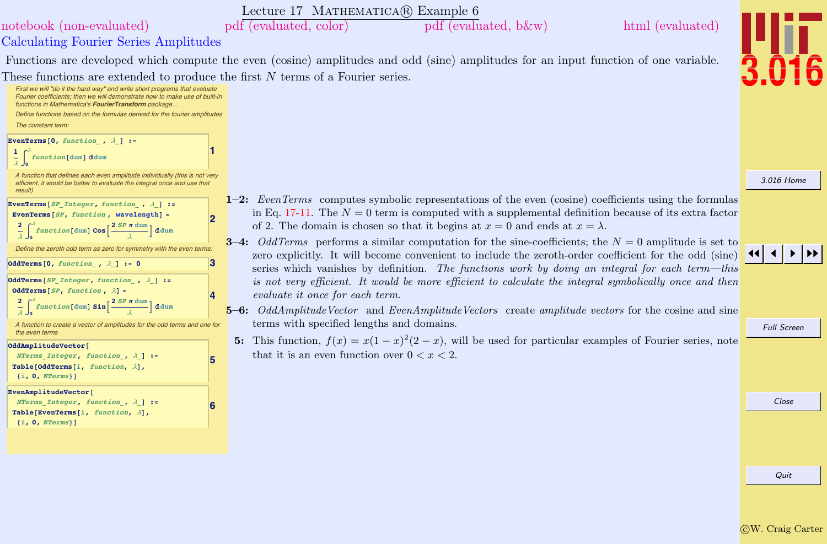#### Lecture 17 MATHEMATICA $\circledR$  Example 6



#### <span id="page-12-0"></span>Calculating Fourier Series Amplitudes [notebook \(non-evaluated\)](http://pruffle.mit.edu/3.016-2012/Notebooks/L17/Lecture-17.nb) [pdf \(evaluated, color\)](http://pruffle.mit.edu/3.016-2012/pdf/L17/Lecture-17-6-COL.pdf) [pdf \(evaluated, b&w\)](http://pruffle.mit.edu/3.016-2012/pdf/L17/Lecture-17-6-BW.pdf) [html \(evaluated\)](http://pruffle.mit.edu/3.016-2012/html/Lecture-17/HTMLLinks/index_6.html)

Functions are developed which compute the even (cosine) amplitudes and odd (sine) amplitudes for an input function of one variable. These functions are extended to produce the first N terms of a Fourier series.



- 1–2: EvenTerms computes symbolic representations of the even (cosine) coefficients using the formulas in Eq. [17-11.](#page-10-0) The  $N = 0$  term is computed with a supplemental definition because of its extra factor of 2. The domain is chosen so that it begins at  $x = 0$  and ends at  $x = \lambda$ .
- **3–4:** OddTerms performs a similar computation for the sine-coefficients; the  $N = 0$  amplitude is set to zero explicitly. It will become convenient to include the zeroth-order coefficient for the odd (sine) series which vanishes by definition. The functions work by doing an integral for each term—this is not very efficient. It would be more efficient to calculate the integral symbolically once and then evaluate it once for each term.
- $5-6$ : OddAmplitudeVector and EvenAmplitudeVectors create amplitude vectors for the cosine and sine terms with specified lengths and domains.
	- 5: This function,  $f(x) = x(1-x)^2(2-x)$ , will be used for particular examples of Fourier series, note that it is an even function over  $0 < x < 2$ .



Full Screen

[3.016 Home](http://pruffle.mit.edu/3.016-2012/)

Close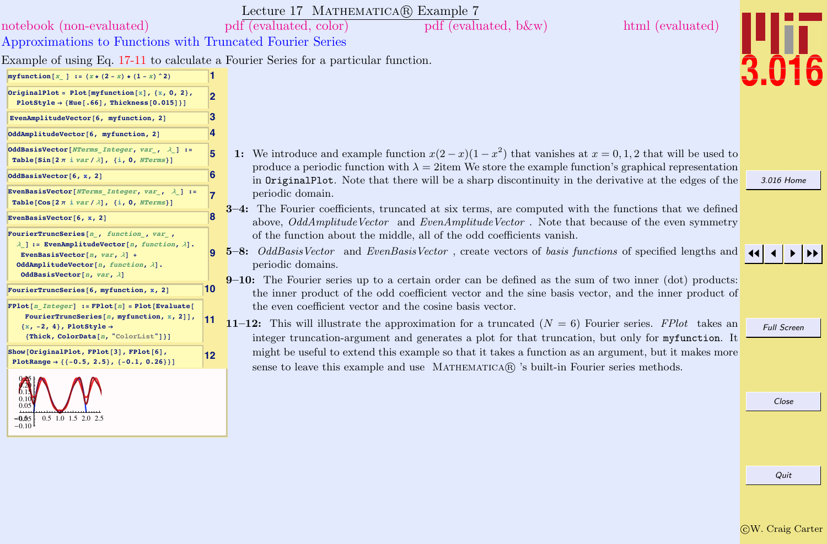<span id="page-13-0"></span>

|                                                                                                                                                                                                                                                 |    | Lecture 17 MATHEMATICA(R) Example 7                                                                                                                                                                                                                                                                           |                    |
|-------------------------------------------------------------------------------------------------------------------------------------------------------------------------------------------------------------------------------------------------|----|---------------------------------------------------------------------------------------------------------------------------------------------------------------------------------------------------------------------------------------------------------------------------------------------------------------|--------------------|
| notebook (non-evaluated)                                                                                                                                                                                                                        |    | pdf (evaluated, color)<br>html (evaluated)<br>pdf (evaluated, b&w)                                                                                                                                                                                                                                            |                    |
| Approximations to Functions with Truncated Fourier Series                                                                                                                                                                                       |    |                                                                                                                                                                                                                                                                                                               |                    |
|                                                                                                                                                                                                                                                 |    | Example of using Eq. 17-11 to calculate a Fourier Series for a particular function.                                                                                                                                                                                                                           |                    |
| myfunction $[x]$ := $(x * (2 - x) * (1 - x) ^2)$                                                                                                                                                                                                |    |                                                                                                                                                                                                                                                                                                               |                    |
| OriginalPlot = Plot[myfunction[x], {x, 0, 2},<br>PlotStyle $\rightarrow$ {Hue[.66], Thickness[0.015]}]                                                                                                                                          | 2  |                                                                                                                                                                                                                                                                                                               |                    |
| EvenAmplitudeVector[6, myfunction, 2]                                                                                                                                                                                                           |    |                                                                                                                                                                                                                                                                                                               |                    |
| OddAmplitudeVector[6, myfunction, 2]                                                                                                                                                                                                            |    |                                                                                                                                                                                                                                                                                                               |                    |
| OddBasisVector[NTerms Integer, var , $\lambda$ ] :=<br>Table [Sin [ $2 \pi$ i var / $\lambda$ ], {i, 0, NTerms}]                                                                                                                                | 5  | 1: We introduce and example function $x(2-x)(1-x^2)$ that vanishes at $x=0,1,2$ that will be used to<br>produce a periodic function with $\lambda = 2$ item We store the example function's graphical representation                                                                                          |                    |
| OddBasisVector[6, x, 2]                                                                                                                                                                                                                         | 6  | in OriginalPlot. Note that there will be a sharp discontinuity in the derivative at the edges of the                                                                                                                                                                                                          | 3.016 Home         |
| EvenBasisVector[NTerms Integer, var , $\lambda$ ] :=<br>Table [Cos[ $2 \pi$ i var / $\lambda$ ], {i, 0, NTerms}]                                                                                                                                |    | periodic domain.<br>3-4: The Fourier coefficients, truncated at six terms, are computed with the functions that we defined                                                                                                                                                                                    |                    |
| EvenBasisVector[6, x, 2]                                                                                                                                                                                                                        |    | above, OddAmplitudeVector and EvenAmplitudeVector. Note that because of the even symmetry                                                                                                                                                                                                                     |                    |
| FourierTruncSeries[n, function, var,<br>$\lambda$ ] := EvenAmplitudeVector[n, function, $\lambda$ ].<br>EvenBasisVector[ $n$ , $var$ , $\lambda$ ] +<br>OddAmplitudeVector[ $n$ , function, $\lambda$ ].<br>OddBasisVector[ $n, var, \lambda$ ] |    | of the function about the middle, all of the odd coefficients vanish.<br>5-8: OddBasisVector and EvenBasisVector, create vectors of basis functions of specified lengths and<br>periodic domains.<br>$9-10$ : The Fourier series up to a certain order can be defined as the sum of two inner (dot) products: |                    |
| FourierTruncSeries[6, myfunction, x, 2]                                                                                                                                                                                                         | 10 | the inner product of the odd coefficient vector and the sine basis vector, and the inner product of                                                                                                                                                                                                           |                    |
| $FPlot[n \ Integer] := FPlot[n] = Plot[Evaluate[n]]$<br>FourierTruncSeries[ $n$ , myfunction, $x$ , 2]],<br>$\{x, -2, 4\}$ , PlotStyle $\rightarrow$<br>{Thick, ColorData[n, "ColorList"]}]                                                     | 11 | the even coefficient vector and the cosine basis vector.<br>11-12: This will illustrate the approximation for a truncated $(N = 6)$ Fourier series. FPlot takes an<br>integer truncation-argument and generates a plot for that truncation, but only for myfunction. It                                       | <b>Full Screen</b> |
| Show [OriginalPlot, FPlot[3], FPlot[6],<br>PlotRange $\rightarrow$ { {-0.5, 2.5}, {-0.1, 0.26}}]                                                                                                                                                | 12 | might be useful to extend this example so that it takes a function as an argument, but it makes more<br>sense to leave this example and use MATHEMATICA(R) 's built-in Fourier series methods.                                                                                                                |                    |
| $0.5$ 1.0 1.5 2.0 2.5<br>$-0.05$<br>$-0.10$                                                                                                                                                                                                     |    |                                                                                                                                                                                                                                                                                                               | Close              |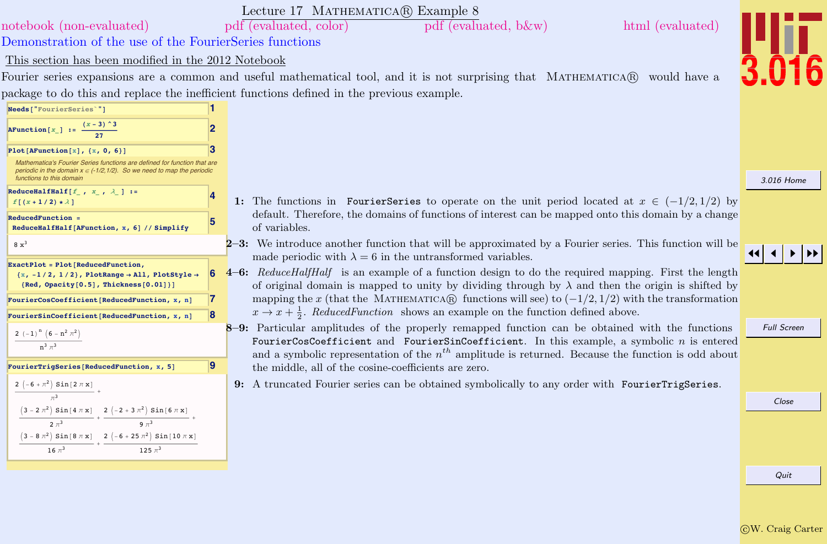<span id="page-14-0"></span>

|                                                                                                                                                                                     |    | Lecture 17 MATHEMATICA(R) Example 8                                                                                                                                                                             |                    |
|-------------------------------------------------------------------------------------------------------------------------------------------------------------------------------------|----|-----------------------------------------------------------------------------------------------------------------------------------------------------------------------------------------------------------------|--------------------|
| notebook (non-evaluated)                                                                                                                                                            |    | html (evaluated)<br>pdf (evaluated, color)<br>$pdf$ (evaluated, b $\&w$ )                                                                                                                                       |                    |
| Demonstration of the use of the FourierSeries functions                                                                                                                             |    |                                                                                                                                                                                                                 |                    |
| This section has been modified in the 2012 Notebook                                                                                                                                 |    |                                                                                                                                                                                                                 |                    |
|                                                                                                                                                                                     |    | Fourier series expansions are a common and useful mathematical tool, and it is not surprising that MATHEMATICA® would have a                                                                                    |                    |
|                                                                                                                                                                                     |    | package to do this and replace the inefficient functions defined in the previous example.                                                                                                                       |                    |
| Needs["FourierSeries`"]                                                                                                                                                             |    |                                                                                                                                                                                                                 |                    |
| AFunction $[x_]$ := $\frac{(x-3)^3}{27}$                                                                                                                                            | 2  |                                                                                                                                                                                                                 |                    |
| Plot[AFunction[ $x$ ], $\{x, 0, 6\}$ ]                                                                                                                                              | ß  |                                                                                                                                                                                                                 |                    |
| Mathematica's Fourier Series functions are defined for function that are<br>periodic in the domain $x \in (-1/2, 1/2)$ . So we need to map the periodic<br>functions to this domain |    |                                                                                                                                                                                                                 | 3.016 Home         |
| ReduceHalfHalf[ $f_$ , $x_$ , $\lambda_$ ] :=<br>$f[(x+1/2)*\lambda]$                                                                                                               |    | 1: The functions in FourierSeries to operate on the unit period located at $x \in (-1/2, 1/2)$ by                                                                                                               |                    |
| ReducedFunction =                                                                                                                                                                   |    | default. Therefore, the domains of functions of interest can be mapped onto this domain by a change                                                                                                             |                    |
| ReduceHalfHalf[AFunction, x, 6] // Simplify                                                                                                                                         |    | of variables.                                                                                                                                                                                                   |                    |
| $8 \times^3$                                                                                                                                                                        |    | 2–3: We introduce another function that will be approximated by a Fourier series. This function will be<br>made periodic with $\lambda = 6$ in the untransformed variables.                                     |                    |
| ExactPlot = Plot [ReducedFunction,<br>$\{x, -1/2, 1/2\}$ , PlotRange $\rightarrow$ All, PlotStyle $\rightarrow$<br>${Red, Opacity[0.5], Thickness[0.01]]}$                          | 6  | 4-6: ReduceHalfHalf is an example of a function design to do the required mapping. First the length<br>of original domain is mapped to unity by dividing through by $\lambda$ and then the origin is shifted by |                    |
| FourierCosCoefficient [ReducedFunction, x, n]                                                                                                                                       |    | mapping the x (that the MATHEMATICAR) functions will see) to $(-1/2, 1/2)$ with the transformation                                                                                                              |                    |
| FourierSinCoefficient[ReducedFunction, x, n]                                                                                                                                        | 8  | $x \to x + \frac{1}{2}$ . Reduced Function shows an example on the function defined above.<br>8-9: Particular amplitudes of the properly remapped function can be obtained with the functions                   | <b>Full Screen</b> |
| 2 (-1) <sup>n</sup> $(6 - n^2 \pi^2)$                                                                                                                                               |    | FourierCosCoefficient and FourierSinCoefficient. In this example, a symbolic $n$ is entered<br>and a symbolic representation of the $n^{th}$ amplitude is returned. Because the function is odd about           |                    |
| FourierTrigSeries[ReducedFunction, x, 5]                                                                                                                                            | 19 | the middle, all of the cosine-coefficients are zero.                                                                                                                                                            |                    |
| $\begin{array}{c c} 2 \left(-6+\pi ^2\right) \sin \left[2 \, \pi \, \mathbf{x}\right] \end{array}$                                                                                  |    | 9: A truncated Fourier series can be obtained symbolically to any order with FourierTrigSeries.                                                                                                                 |                    |
|                                                                                                                                                                                     |    |                                                                                                                                                                                                                 | Close              |
| $\left(3-2 \ \pi ^2\right) \ \texttt{Sin} \left[\, 4 \ \pi \ \texttt{x}\,\right] \quad \  \  2 \ \left(-2+3 \ \pi ^2\right) \ \texttt{Sin} \left[\, 6 \ \pi \ \texttt{x}\,\right]$  |    |                                                                                                                                                                                                                 |                    |
| $(3 - 8 \pi^2)$ Sin[ $8 \pi x$ ] 2 $(-6 + 25 \pi^2)$ Sin[ $10 \pi x$ ]                                                                                                              |    |                                                                                                                                                                                                                 |                    |
| 16 $\pi^3$<br>125 $\pi^3$                                                                                                                                                           |    |                                                                                                                                                                                                                 |                    |
|                                                                                                                                                                                     |    |                                                                                                                                                                                                                 |                    |
|                                                                                                                                                                                     |    |                                                                                                                                                                                                                 | Quit               |
|                                                                                                                                                                                     |    |                                                                                                                                                                                                                 |                    |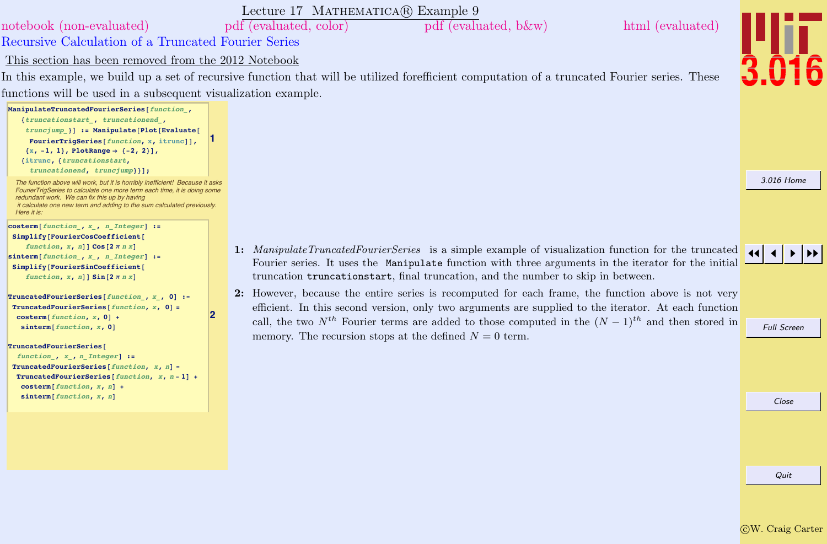<span id="page-15-0"></span>

|                                                                                                                                                                                                                                                                                                                                    | Lecture 17 MATHEMATICA(R) Example 9                                                                                                                                                                                                                                                                                                                                                                       |                    |
|------------------------------------------------------------------------------------------------------------------------------------------------------------------------------------------------------------------------------------------------------------------------------------------------------------------------------------|-----------------------------------------------------------------------------------------------------------------------------------------------------------------------------------------------------------------------------------------------------------------------------------------------------------------------------------------------------------------------------------------------------------|--------------------|
| notebook (non-evaluated)                                                                                                                                                                                                                                                                                                           | pdf (evaluated, b&w)<br>html (evaluated)<br>pdf (evaluated, color)                                                                                                                                                                                                                                                                                                                                        |                    |
| Recursive Calculation of a Truncated Fourier Series                                                                                                                                                                                                                                                                                |                                                                                                                                                                                                                                                                                                                                                                                                           |                    |
| This section has been removed from the 2012 Notebook                                                                                                                                                                                                                                                                               |                                                                                                                                                                                                                                                                                                                                                                                                           |                    |
|                                                                                                                                                                                                                                                                                                                                    | In this example, we build up a set of recursive function that will be utilized forefficient computation of a truncated Fourier series. These                                                                                                                                                                                                                                                              |                    |
| functions will be used in a subsequent visualization example.                                                                                                                                                                                                                                                                      |                                                                                                                                                                                                                                                                                                                                                                                                           |                    |
| ManipulateTruncatedFourierSeries[function,<br>{truncationstart, truncationend,<br>truncjump } ] := Manipulate [Plot [Evaluate [<br>FourierTrigSeries[function, x, itrunc]],<br>$\{x, -1, 1\}$ , PlotRange $\rightarrow$ $\{-2, 2\}$ ,<br>{itrunc, {truncationstart,                                                                |                                                                                                                                                                                                                                                                                                                                                                                                           |                    |
| truncationend, truncjump}}];<br>The function above will work, but it is horribly inefficient! Because it asks<br>FourierTrigSeries to calculate one more term each time, it is doing some<br>redundant work. We can fix this up by having<br>it calculate one new term and adding to the sum calculated previously.<br>Here it is: |                                                                                                                                                                                                                                                                                                                                                                                                           | 3.016 Home         |
| $\texttt{costen}[\textit{function}\_,\ x_,\ n\_Integer] :=$<br>Simplify[FourierCosCoefficient]<br>function, $x$ , $n$ ] $\cos [2 \pi n x]$<br>$sinterm[function, x, n]$ Integer] :=<br>Simplify[FourierSinCoefficient]                                                                                                             | 1: ManipulateTruncatedFourierSeries is a simple example of visualization function for the truncated<br>Fourier series. It uses the Manipulate function with three arguments in the iterator for the initial                                                                                                                                                                                               |                    |
| function, $x$ , $n$ ] $\sin[2 \pi n x]$<br>TruncatedFourierSeries[function, $x$ , 0] :=<br>TruncatedFourierSeries[ $function, x, 0] =$<br>$\texttt{costerm}[\textit{function}, x, 0]$ +<br>sinterm[function, x, 0]                                                                                                                 | truncation truncationstart, final truncation, and the number to skip in between.<br>2: However, because the entire series is recomputed for each frame, the function above is not very<br>efficient. In this second version, only two arguments are supplied to the iterator. At each function<br>call, the two $N^{th}$ Fourier terms are added to those computed in the $(N-1)^{th}$ and then stored in | <b>Full Screen</b> |
| TruncatedFourierSeries[<br>function, $x$ , $n$ Integer] :=<br>TruncatedFourierSeries [function, $x$ , $n$ ] =<br>TruncatedFourierSeries[function, x, n-1] +<br>$\texttt{costerm}[\textit{function}, x, n]$ +                                                                                                                       | memory. The recursion stops at the defined $N = 0$ term.                                                                                                                                                                                                                                                                                                                                                  |                    |
| sinterm[function, x, n]                                                                                                                                                                                                                                                                                                            |                                                                                                                                                                                                                                                                                                                                                                                                           | Close              |
|                                                                                                                                                                                                                                                                                                                                    |                                                                                                                                                                                                                                                                                                                                                                                                           | Quit               |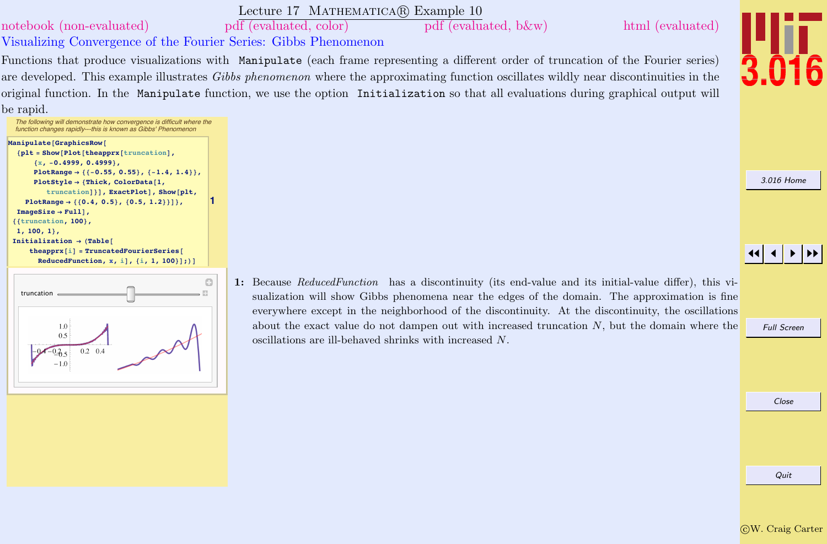

Quit

## Lecture 17 MATHEMATICA(R) Example 10

<span id="page-16-0"></span>[notebook \(non-evaluated\)](http://pruffle.mit.edu/3.016-2012/Notebooks/L17/Lecture-17.nb) [pdf \(evaluated, color\)](http://pruffle.mit.edu/3.016-2012/pdf/L17/Lecture-17-10-COL.pdf) [pdf \(evaluated, b&w\)](http://pruffle.mit.edu/3.016-2012/pdf/L17/Lecture-17-10-BW.pdf) [html \(evaluated\)](http://pruffle.mit.edu/3.016-2012/html/Lecture-17/HTMLLinks/index_10.html)

Visualizing Convergence of the Fourier Series: Gibbs Phenomenon

Functions that produce visualizations with Manipulate (each frame representing a different order of truncation of the Fourier series) are developed. This example illustrates Gibbs phenomenon where the approximating function oscillates wildly near discontinuities in the original function. In the Manipulate function, we use the option Initialization so that all evaluations during graphical output will be rapid.





- sualization will show Gibbs phenomena near the edges of the domain. The approximation is fine everywhere except in the neighborhood of the discontinuity. At the discontinuity, the oscillations about the exact value do not dampen out with increased truncation N, but the domain where the oscillations are ill-behaved shrinks with increased N.
- 1: Because ReducedFunction has a discontinuity (its end-value and its initial-value differ), this vi-

[3.016 Home](http://pruffle.mit.edu/3.016-2012/)

## JJ J I II

Full Screen

Close

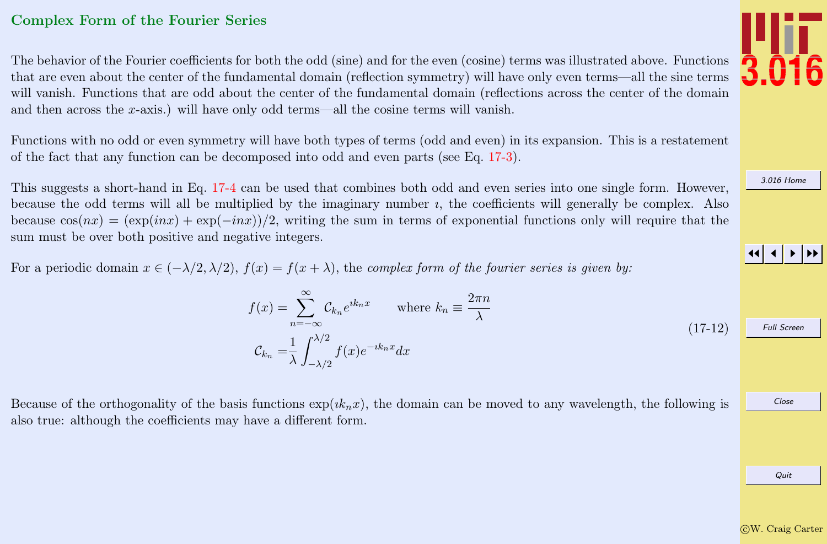### <span id="page-17-0"></span>Complex Form of the Fourier Series

The behavior of the Fourier coefficients for both the odd (sine) and for the even (cosine) terms was illustrated above. Functions that are even about the center of the fundamental domain (reflection symmetry) will have only even terms—all the sine terms will vanish. Functions that are odd about the center of the fundamental domain (reflections across the center of the domain and then across the  $x$ -axis.) will have only odd terms—all the cosine terms will vanish.

Functions with no odd or even symmetry will have both types of terms (odd and even) in its expansion. This is a restatement of the fact that any function can be decomposed into odd and even parts (see Eq. [17-3\)](#page-6-0).

This suggests a short-hand in Eq. [17-4](#page-6-0) can be used that combines both odd and even series into one single form. However, because the odd terms will all be multiplied by the imaginary number  $i$ , the coefficients will generally be complex. Also because  $\cos(nx) = (\exp(inx) + \exp(-inx))/2$ , writing the sum in terms of exponential functions only will require that the sum must be over both positive and negative integers.

For a periodic domain  $x \in (-\lambda/2, \lambda/2)$ ,  $f(x) = f(x + \lambda)$ , the *complex form of the fourier series is given by:* 

$$
f(x) = \sum_{n = -\infty}^{\infty} C_{k_n} e^{ik_n x} \quad \text{where } k_n \equiv \frac{2\pi n}{\lambda}
$$
  

$$
C_{k_n} = \frac{1}{\lambda} \int_{-\lambda/2}^{\lambda/2} f(x) e^{-ik_n x} dx
$$
 (17-12)

Because of the orthogonality of the basis functions  $\exp(ik_nx)$ , the domain can be moved to any wavelength, the following is also true: although the coefficients may have a different form.



[3.016 Home](http://pruffle.mit.edu/3.016-2012/)

JJ J I II

Full Screen

Close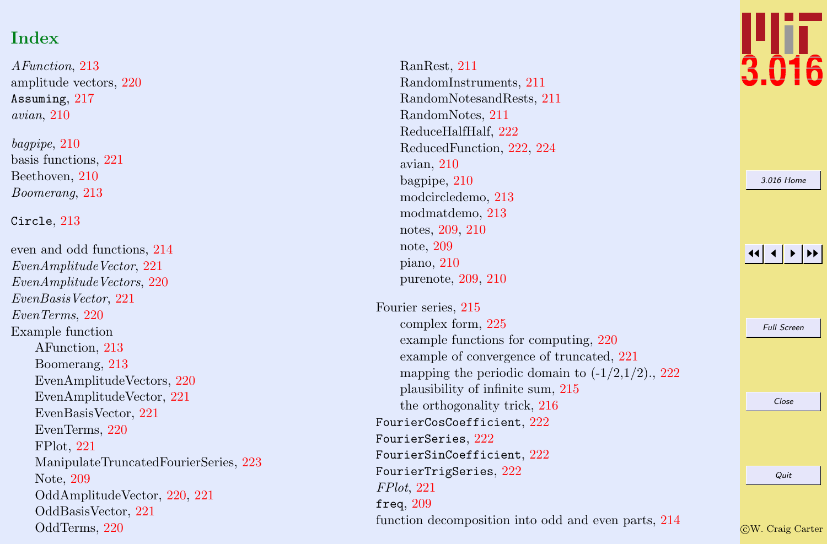# Index

AFunction , [213](#page-5-0) amplitude vectors, [220](#page-12-0) Assuming , [217](#page-9-0) avian , [210](#page-2-0)

bagpipe , [210](#page-2-0) basis functions, [221](#page-13-0) Beethoven, [210](#page-2-0) Boomerang , [213](#page-5-0)

#### Circle , [213](#page-5-0)

even and odd functions, [214](#page-6-0) EvenAmplitudeVector, [221](#page-13-0) EvenAmplitudeVectors, [220](#page-12-0) EvenBasisVector , [221](#page-13-0) EvenTerms , [220](#page-12-0) Example function AFunction, [213](#page-5-0) Boomerang, [213](#page-5-0) EvenAmplitudeVectors, [220](#page-12-0) EvenAmplitudeVector, [221](#page-13-0) EvenBasisVector, [221](#page-13-0) EvenTerms, [220](#page-12-0) FPlot, [221](#page-13-0) ManipulateTruncatedFourierSeries, [223](#page-15-0) Note, [209](#page-1-0) OddAmplitudeVector, [220](#page-12-0) , [221](#page-13-0) OddBasisVector, [221](#page-13-0) OddTerms, [220](#page-12-0)

RanRest, [211](#page-3-0) RandomInstruments, [211](#page-3-0) RandomNotesandRests, [211](#page-3-0) RandomNotes, [211](#page-3-0) ReduceHalfHalf, [222](#page-14-0) ReducedFunction, [222](#page-14-0) , [224](#page-16-0) avian, [210](#page-2-0) bagpipe, [210](#page-2-0) modcircledemo, [213](#page-5-0) modmatdemo, [213](#page-5-0) notes, [209](#page-1-0) , [210](#page-2-0) note, [209](#page-1-0) piano, [210](#page-2-0) purenote, [209](#page-1-0) , [210](#page-2-0)

Fourier series, [215](#page-7-0) complex form, [225](#page-17-0) example functions for computing, [220](#page-12-0) example of convergence of truncated, [221](#page-13-0) mapping the periodic domain to  $(-1/2,1/2)$ , [222](#page-14-0) plausibility of infinite sum, [215](#page-7-0) the orthogonality trick, [216](#page-8-0)  ${\tt FourierCosCoefficient},$   $222$  $\sqrt{\text{FourierSeries}},\,222$  $\sqrt{\text{FourierSeries}},\,222$  $\texttt{FourierSinCoefficient}, 222$  $\texttt{FourierSinCoefficient}, 222$  ${\tt FourierTrigSeries},\,222$  ${\tt FourierTrigSeries},\,222$ FPlot , [221](#page-13-0) freq,  $209$ function decomposition into odd and even parts, [214](#page-6-0)



[3.016 Home](http://pruffle.mit.edu/3.016-2012/)

#### 11  $\blacktriangleleft$ I II

Full Screen

Close

Quit

c W. Craig Carter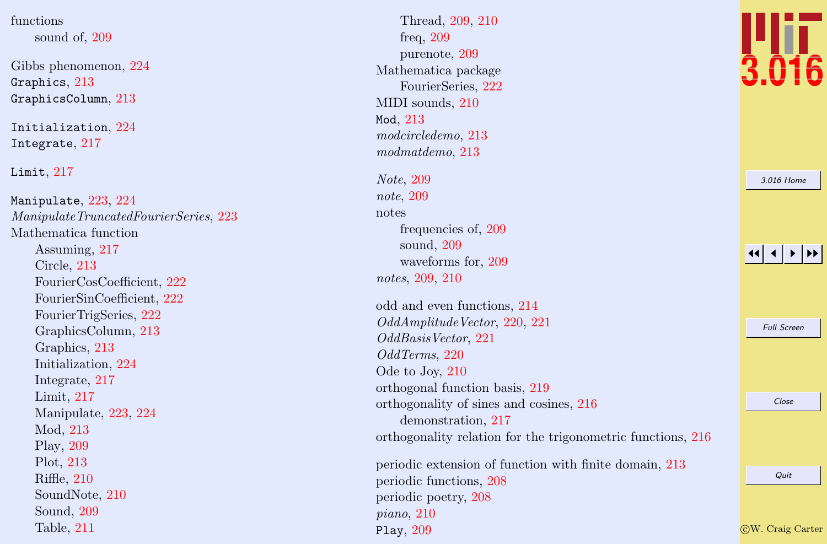functions sound of, [209](#page-1-0)

Gibbs phenomenon, [224](#page-16-0) Graphics,  $213\,$  $213\,$ GraphicsColumn , [213](#page-5-0)

Initialization, [224](#page-16-0) Integrate , [217](#page-9-0)

Limit,  $217$ 

 $\texttt{Manipulate},\, 223,\, 224$  $\texttt{Manipulate},\, 223,\, 224$  $\texttt{Manipulate},\, 223,\, 224$  $\texttt{Manipulate},\, 223,\, 224$ ManipulateTruncatedFourierSeries, [223](#page-15-0) Mathematica function Assuming, [217](#page-9-0) Circle, [213](#page-5-0) FourierCosCoefficient, [222](#page-14-0) FourierSinCoefficient, [222](#page-14-0) FourierTrigSeries, [222](#page-14-0) GraphicsColumn, [213](#page-5-0) Graphics, [213](#page-5-0) Initialization, [224](#page-16-0) Integrate, [217](#page-9-0) Limit, [217](#page-9-0) Manipulate, [223](#page-15-0) , [224](#page-16-0) Mod, [213](#page-5-0) Play, [209](#page-1-0) Plot, [213](#page-5-0) Riffle, [210](#page-2-0) SoundNote, [210](#page-2-0) Sound, [209](#page-1-0) Table, [211](#page-3-0)

Thread, [209](#page-1-0) , [210](#page-2-0) freq, [209](#page-1-0) purenote, [209](#page-1-0) Mathematica package FourierSeries, [222](#page-14-0) MIDI sounds, [210](#page-2-0)  $Mod, 213$  $Mod, 213$ modcircledemo , [213](#page-5-0) modmatdemo , [213](#page-5-0) Note , [209](#page-1-0) note , [209](#page-1-0) notes frequencies of, [209](#page-1-0) sound, [209](#page-1-0) waveforms for, [209](#page-1-0) notes , [209](#page-1-0) , [210](#page-2-0) odd and even functions, [214](#page-6-0) OddAmplitudeVector, [220](#page-12-0), [221](#page-13-0) OddBasisVector , [221](#page-13-0) OddTerms , [220](#page-12-0) Ode to Joy, [210](#page-2-0) orthogonal function basis, [219](#page-11-0) orthogonality of sines and cosines, [216](#page-8-0) demonstration, [217](#page-9-0) orthogonality relation for the trigonometric functions, [216](#page-8-0) periodic extension of function with finite domain, [213](#page-5-0) periodic functions, [208](#page-0-0) periodic poetry, [208](#page-0-0) piano , [210](#page-2-0) Play , [209](#page-1-0)



[3.016 Home](http://pruffle.mit.edu/3.016-2012/)

11  $\blacktriangleleft$ I II

Full Screen

Close

c W. Craig Carter